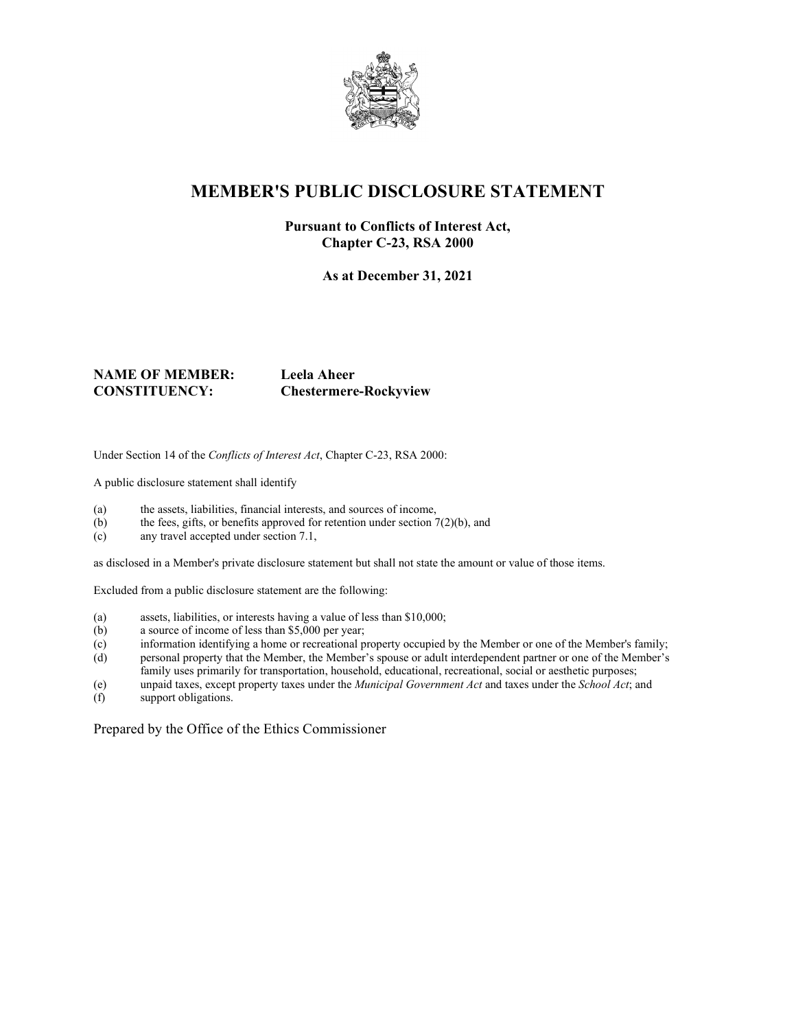

# **MEMBER'S PUBLIC DISCLOSURE STATEMENT**

#### **Pursuant to Conflicts of Interest Act, Chapter C-23, RSA 2000**

**As at December 31, 2021**

#### **NAME OF MEMBER: Leela Aheer CONSTITUENCY: Chestermere-Rockyview**

Under Section 14 of the *Conflicts of Interest Act*, Chapter C-23, RSA 2000:

A public disclosure statement shall identify

- (a) the assets, liabilities, financial interests, and sources of income,
- (b) the fees, gifts, or benefits approved for retention under section  $7(2)(b)$ , and
- (c) any travel accepted under section 7.1,

as disclosed in a Member's private disclosure statement but shall not state the amount or value of those items.

Excluded from a public disclosure statement are the following:

- (a) assets, liabilities, or interests having a value of less than \$10,000;
- (b) a source of income of less than \$5,000 per year;
- (c) information identifying a home or recreational property occupied by the Member or one of the Member's family;
- (d) personal property that the Member, the Member's spouse or adult interdependent partner or one of the Member's family uses primarily for transportation, household, educational, recreational, social or aesthetic purposes;
- (e) unpaid taxes, except property taxes under the *Municipal Government Act* and taxes under the *School Act*; and
- support obligations.

Prepared by the Office of the Ethics Commissioner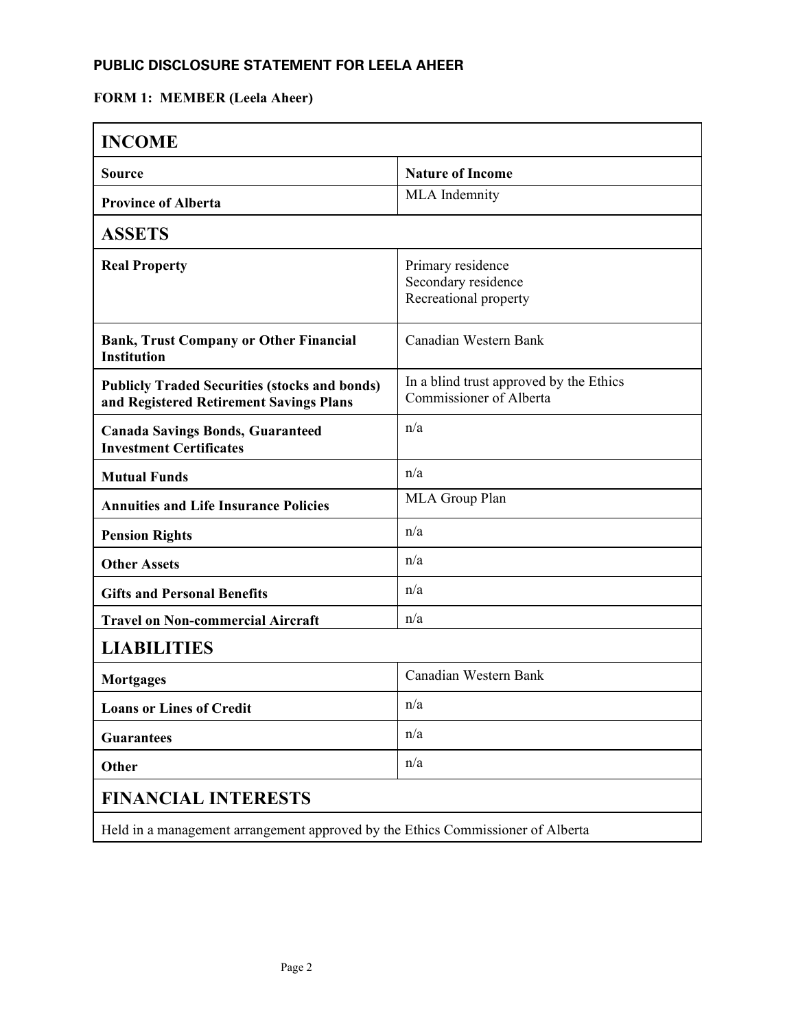# **FORM 1: MEMBER (Leela Aheer)**

| <b>INCOME</b>                                                                                   |                                                                    |  |
|-------------------------------------------------------------------------------------------------|--------------------------------------------------------------------|--|
| <b>Source</b>                                                                                   | <b>Nature of Income</b>                                            |  |
| <b>Province of Alberta</b>                                                                      | MLA Indemnity                                                      |  |
| <b>ASSETS</b>                                                                                   |                                                                    |  |
| <b>Real Property</b>                                                                            | Primary residence<br>Secondary residence<br>Recreational property  |  |
| <b>Bank, Trust Company or Other Financial</b><br><b>Institution</b>                             | Canadian Western Bank                                              |  |
| <b>Publicly Traded Securities (stocks and bonds)</b><br>and Registered Retirement Savings Plans | In a blind trust approved by the Ethics<br>Commissioner of Alberta |  |
| <b>Canada Savings Bonds, Guaranteed</b><br><b>Investment Certificates</b>                       | n/a                                                                |  |
| <b>Mutual Funds</b>                                                                             | n/a                                                                |  |
| <b>Annuities and Life Insurance Policies</b>                                                    | MLA Group Plan                                                     |  |
| <b>Pension Rights</b>                                                                           | n/a                                                                |  |
| <b>Other Assets</b>                                                                             | n/a                                                                |  |
| <b>Gifts and Personal Benefits</b>                                                              | n/a                                                                |  |
| <b>Travel on Non-commercial Aircraft</b>                                                        | n/a                                                                |  |
| <b>LIABILITIES</b>                                                                              |                                                                    |  |
| <b>Mortgages</b>                                                                                | Canadian Western Bank                                              |  |
| <b>Loans or Lines of Credit</b>                                                                 | n/a                                                                |  |
| <b>Guarantees</b>                                                                               | n/a                                                                |  |
| Other                                                                                           | n/a                                                                |  |
| <b>FINANCIAL INTERESTS</b>                                                                      |                                                                    |  |
| Held in a management arrangement approved by the Ethics Commissioner of Alberta                 |                                                                    |  |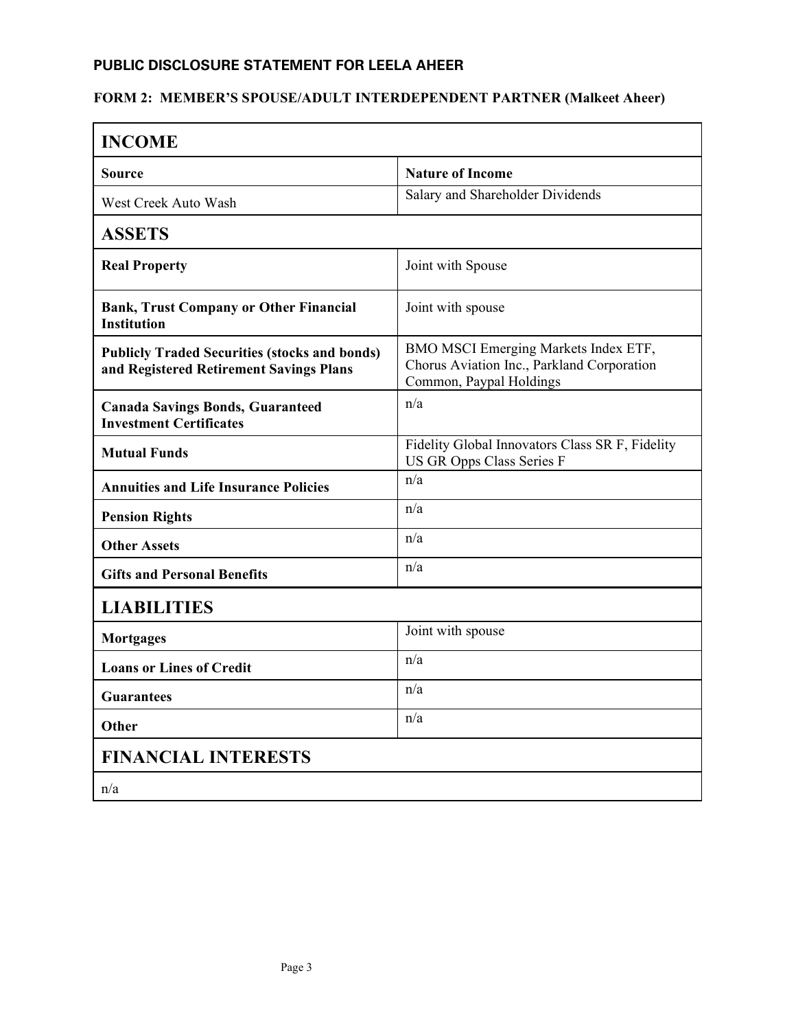# **FORM 2: MEMBER'S SPOUSE/ADULT INTERDEPENDENT PARTNER (Malkeet Aheer)**

| <b>INCOME</b>                                                                                   |                                                                                                               |
|-------------------------------------------------------------------------------------------------|---------------------------------------------------------------------------------------------------------------|
| Source                                                                                          | <b>Nature of Income</b>                                                                                       |
| West Creek Auto Wash                                                                            | Salary and Shareholder Dividends                                                                              |
| <b>ASSETS</b>                                                                                   |                                                                                                               |
| <b>Real Property</b>                                                                            | Joint with Spouse                                                                                             |
| <b>Bank, Trust Company or Other Financial</b><br><b>Institution</b>                             | Joint with spouse                                                                                             |
| <b>Publicly Traded Securities (stocks and bonds)</b><br>and Registered Retirement Savings Plans | BMO MSCI Emerging Markets Index ETF,<br>Chorus Aviation Inc., Parkland Corporation<br>Common, Paypal Holdings |
| <b>Canada Savings Bonds, Guaranteed</b><br><b>Investment Certificates</b>                       | n/a                                                                                                           |
| <b>Mutual Funds</b>                                                                             | Fidelity Global Innovators Class SR F, Fidelity<br>US GR Opps Class Series F                                  |
| <b>Annuities and Life Insurance Policies</b>                                                    | n/a                                                                                                           |
| <b>Pension Rights</b>                                                                           | n/a                                                                                                           |
| <b>Other Assets</b>                                                                             | n/a                                                                                                           |
| <b>Gifts and Personal Benefits</b>                                                              | n/a                                                                                                           |
| <b>LIABILITIES</b>                                                                              |                                                                                                               |
| <b>Mortgages</b>                                                                                | Joint with spouse                                                                                             |
| <b>Loans or Lines of Credit</b>                                                                 | n/a                                                                                                           |
| <b>Guarantees</b>                                                                               | n/a                                                                                                           |
| <b>Other</b>                                                                                    | n/a                                                                                                           |
| <b>FINANCIAL INTERESTS</b>                                                                      |                                                                                                               |
| n/a                                                                                             |                                                                                                               |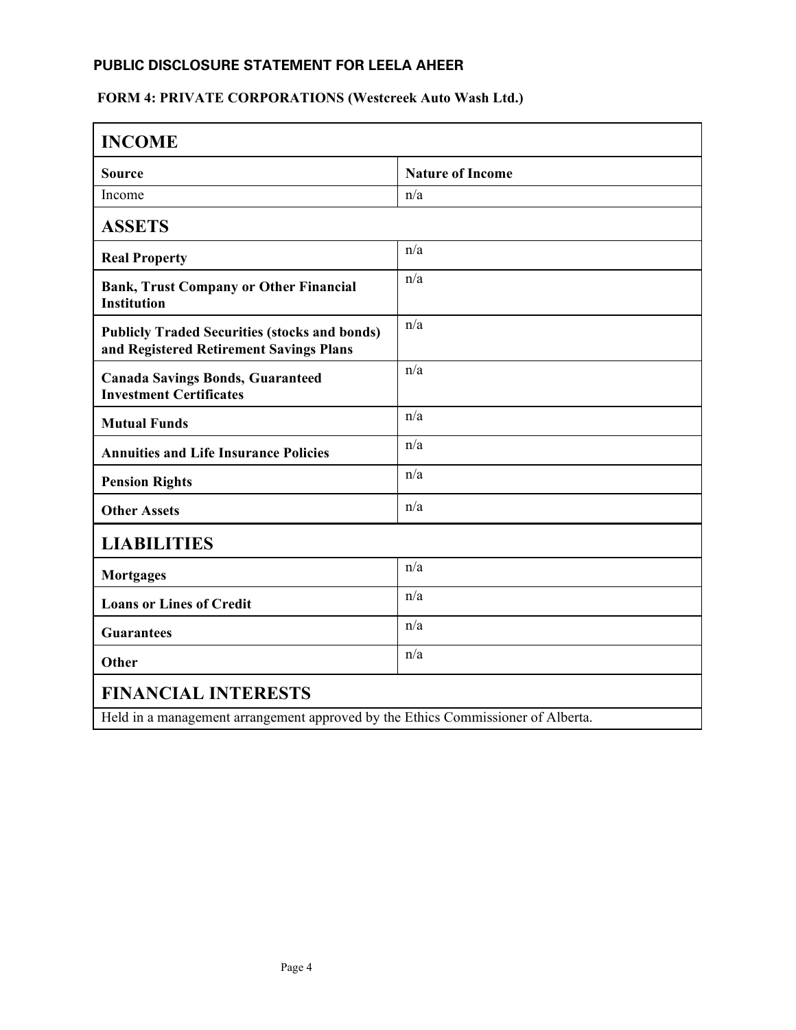# **FORM 4: PRIVATE CORPORATIONS (Westcreek Auto Wash Ltd.)**

| <b>INCOME</b>                                                                                   |                         |  |
|-------------------------------------------------------------------------------------------------|-------------------------|--|
| <b>Source</b>                                                                                   | <b>Nature of Income</b> |  |
| Income                                                                                          | n/a                     |  |
| <b>ASSETS</b>                                                                                   |                         |  |
| <b>Real Property</b>                                                                            | n/a                     |  |
| <b>Bank, Trust Company or Other Financial</b><br><b>Institution</b>                             | n/a                     |  |
| <b>Publicly Traded Securities (stocks and bonds)</b><br>and Registered Retirement Savings Plans | n/a                     |  |
| <b>Canada Savings Bonds, Guaranteed</b><br><b>Investment Certificates</b>                       | n/a                     |  |
| <b>Mutual Funds</b>                                                                             | n/a                     |  |
| <b>Annuities and Life Insurance Policies</b>                                                    | n/a                     |  |
| <b>Pension Rights</b>                                                                           | n/a                     |  |
| <b>Other Assets</b>                                                                             | n/a                     |  |
| <b>LIABILITIES</b>                                                                              |                         |  |
| <b>Mortgages</b>                                                                                | n/a                     |  |
| <b>Loans or Lines of Credit</b>                                                                 | n/a                     |  |
| <b>Guarantees</b>                                                                               | n/a                     |  |
| Other                                                                                           | n/a                     |  |
| <b>FINANCIAL INTERESTS</b>                                                                      |                         |  |
| Held in a management arrangement approved by the Ethics Commissioner of Alberta.                |                         |  |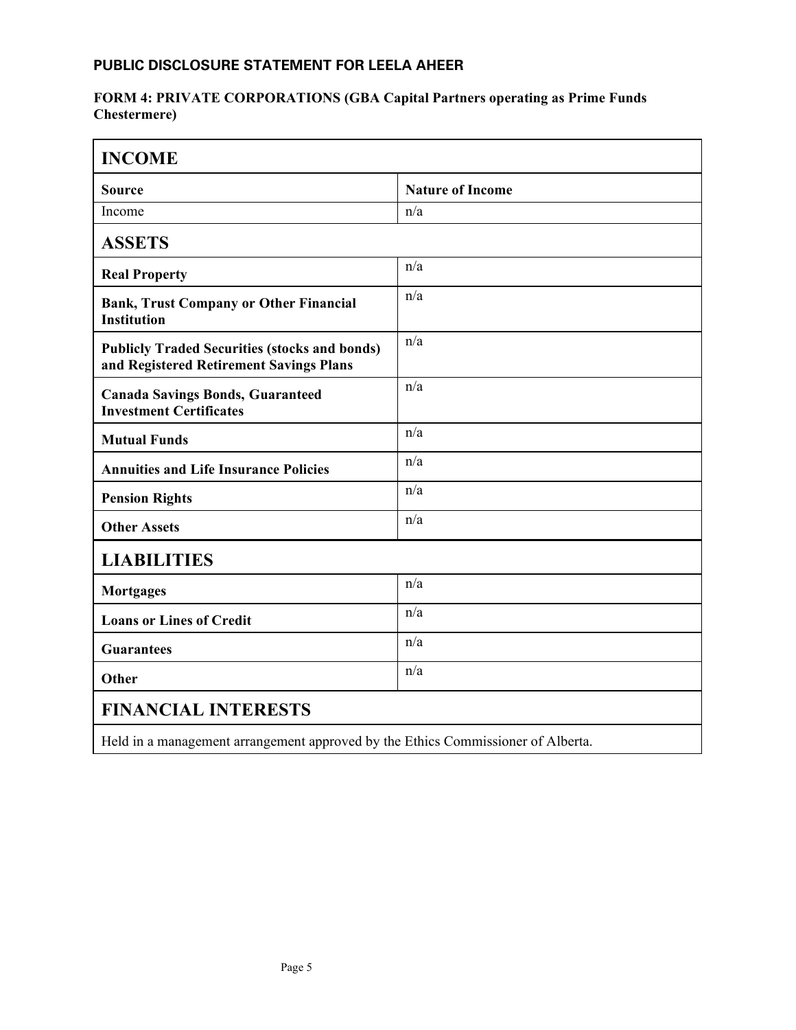#### **FORM 4: PRIVATE CORPORATIONS (GBA Capital Partners operating as Prime Funds Chestermere)**

| <b>INCOME</b>                                                                                   |                         |  |
|-------------------------------------------------------------------------------------------------|-------------------------|--|
| <b>Source</b>                                                                                   | <b>Nature of Income</b> |  |
| Income                                                                                          | n/a                     |  |
| <b>ASSETS</b>                                                                                   |                         |  |
| <b>Real Property</b>                                                                            | n/a                     |  |
| <b>Bank, Trust Company or Other Financial</b><br><b>Institution</b>                             | n/a                     |  |
| <b>Publicly Traded Securities (stocks and bonds)</b><br>and Registered Retirement Savings Plans | n/a                     |  |
| <b>Canada Savings Bonds, Guaranteed</b><br><b>Investment Certificates</b>                       | n/a                     |  |
| <b>Mutual Funds</b>                                                                             | n/a                     |  |
| <b>Annuities and Life Insurance Policies</b>                                                    | n/a                     |  |
| <b>Pension Rights</b>                                                                           | n/a                     |  |
| <b>Other Assets</b>                                                                             | n/a                     |  |
| <b>LIABILITIES</b>                                                                              |                         |  |
| <b>Mortgages</b>                                                                                | n/a                     |  |
| <b>Loans or Lines of Credit</b>                                                                 | n/a                     |  |
| <b>Guarantees</b>                                                                               | n/a                     |  |
| Other                                                                                           | n/a                     |  |
| <b>FINANCIAL INTERESTS</b>                                                                      |                         |  |
| Held in a management arrangement approved by the Ethics Commissioner of Alberta.                |                         |  |